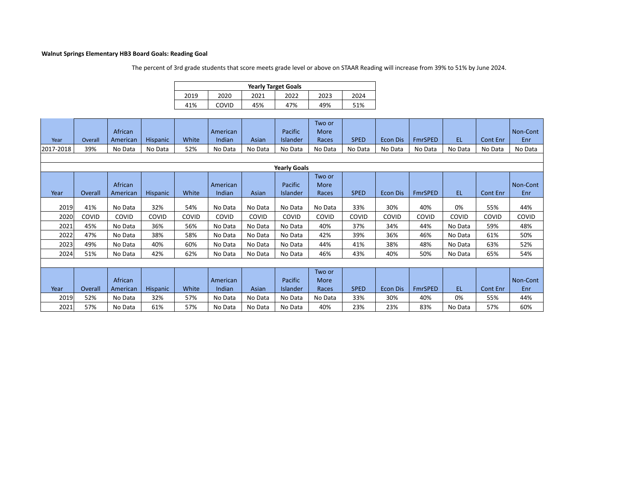## **Walnut Springs Elementary HB3 Board Goals: Reading Goal**

The percent of 3rd grade students that score meets grade level or above on STAAR Reading will increase from 39% to 51% by June 2024.

| <b>Yearly Target Goals</b>                   |       |     |     |     |     |  |  |  |  |  |  |
|----------------------------------------------|-------|-----|-----|-----|-----|--|--|--|--|--|--|
| 2022<br>2019<br>2020<br>2021<br>2024<br>2023 |       |     |     |     |     |  |  |  |  |  |  |
| 41%                                          | COVID | 45% | 47% | 49% | 51% |  |  |  |  |  |  |

| Year                | Overall | African<br>American | <b>Hispanic</b> | White | American<br>Indian | Asian   | Pacific<br>Islander | Two or<br>More<br>Races | <b>SPED</b> | <b>Econ Dis</b> | <b>FmrSPED</b> | EL.     | <b>Cont Enr</b> | Non-Cont<br>Enr |
|---------------------|---------|---------------------|-----------------|-------|--------------------|---------|---------------------|-------------------------|-------------|-----------------|----------------|---------|-----------------|-----------------|
| 2017-2018           | 39%     | No Data             | No Data         | 52%   | No Data            | No Data | No Data             | No Data                 | No Data     | No Data         | No Data        | No Data | No Data         | No Data         |
|                     |         |                     |                 |       |                    |         |                     |                         |             |                 |                |         |                 |                 |
| <b>Yearly Goals</b> |         |                     |                 |       |                    |         |                     |                         |             |                 |                |         |                 |                 |
|                     |         | African             |                 |       | American           |         | Pacific             | Two or<br>More          |             |                 |                |         |                 | Non-Cont        |
| Year                | Overall | American            | <b>Hispanic</b> | White | Indian             | Asian   | Islander            | Races                   | <b>SPED</b> | <b>Econ Dis</b> | <b>FmrSPED</b> | EL.     | Cont Enr        | Enr             |
|                     |         |                     |                 |       |                    |         |                     |                         |             |                 |                |         |                 |                 |
| 2019                | 41%     | No Data             | 32%             | 54%   | No Data            | No Data | No Data             | No Data                 | 33%         | 30%             | 40%            | 0%      | 55%             | 44%             |
| 2020                | COVID   | COVID               | COVID           | COVID | COVID              | COVID   | COVID               | COVID                   | COVID       | COVID           | COVID          | COVID   | COVID           | COVID           |
| 2021                | 45%     | No Data             | 36%             | 56%   | No Data            | No Data | No Data             | 40%                     | 37%         | 34%             | 44%            | No Data | 59%             | 48%             |
| 2022                | 47%     | No Data             | 38%             | 58%   | No Data            | No Data | No Data             | 42%                     | 39%         | 36%             | 46%            | No Data | 61%             | 50%             |
| 2023                | 49%     | No Data             | 40%             | 60%   | No Data            | No Data | No Data             | 44%                     | 41%         | 38%             | 48%            | No Data | 63%             | 52%             |
| 2024                | 51%     | No Data             | 42%             | 62%   | No Data            | No Data | No Data             | 46%                     | 43%         | 40%             | 50%            | No Data | 65%             | 54%             |
|                     |         |                     |                 |       |                    |         |                     |                         |             |                 |                |         |                 |                 |
|                     |         |                     |                 |       |                    |         |                     | Two or                  |             |                 |                |         |                 |                 |
|                     |         | African             |                 |       | American           |         | Pacific             | More                    |             |                 |                |         |                 | Non-Cont        |
| Year                | Overall | American            | <b>Hispanic</b> | White | Indian             | Asian   | Islander            | Races                   | <b>SPED</b> | <b>Econ Dis</b> | <b>FmrSPED</b> | EL.     | Cont Enr        | Enr             |
| 2019                | 52%     | No Data             | 32%             | 57%   | No Data            | No Data | No Data             | No Data                 | 33%         | 30%             | 40%            | 0%      | 55%             | 44%             |
| 2021                | 57%     | No Data             | 61%             | 57%   | No Data            | No Data | No Data             | 40%                     | 23%         | 23%             | 83%            | No Data | 57%             | 60%             |